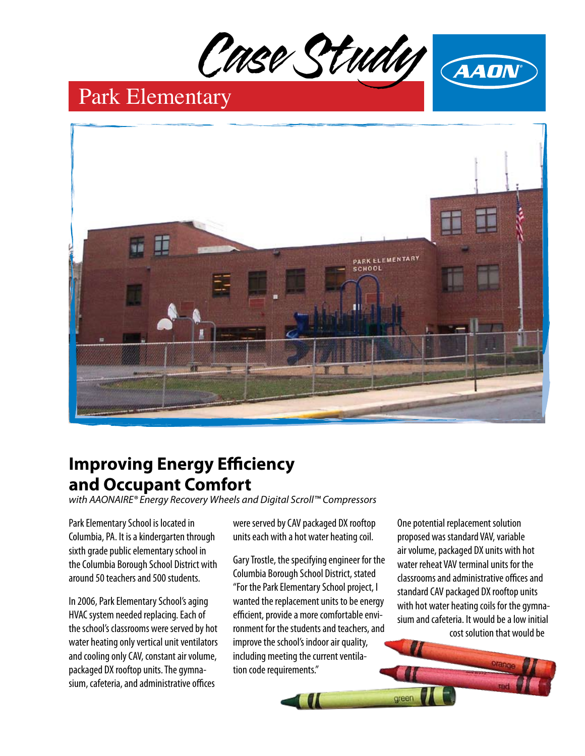



# Park Elementary



# **Improving Energy Efficiency and Occupant Comfort**

*with AAONAIRE® Energy Recovery Wheels and Digital Scroll™ Compressors*

Park Elementary School is located in Columbia, PA. It is a kindergarten through sixth grade public elementary school in the Columbia Borough School District with around 50 teachers and 500 students.

In 2006, Park Elementary School's aging HVAC system needed replacing. Each of the school's classrooms were served by hot water heating only vertical unit ventilators and cooling only CAV, constant air volume, packaged DX rooftop units. The gymnasium, cafeteria, and administrative offices

were served by CAV packaged DX rooftop units each with a hot water heating coil.

Gary Trostle, the specifying engineer for the Columbia Borough School District, stated "For the Park Elementary School project, I wanted the replacement units to be energy efficient, provide a more comfortable environment for the students and teachers, and improve the school's indoor air quality, including meeting the current ventilation code requirements."

One potential replacement solution proposed was standard VAV, variable air volume, packaged DX units with hot water reheat VAV terminal units for the classrooms and administrative offices and standard CAV packaged DX rooftop units with hot water heating coils for the gymnasium and cafeteria. It would be a low initial cost solution that would be

green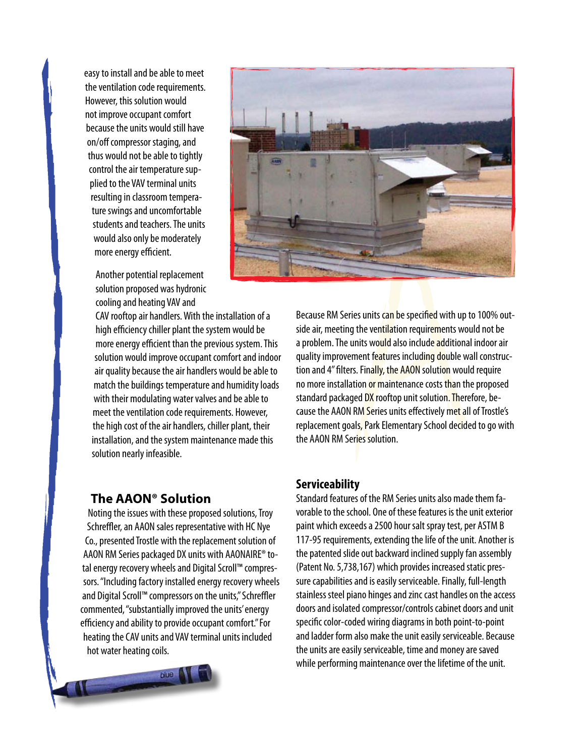easy to install and be able to meet the ventilation code requirements. However, this solution would not improve occupant comfort because the units would still have on/off compressor staging, and thus would not be able to tightly control the air temperature supplied to the VAV terminal units resulting in classroom temperature swings and uncomfortable students and teachers. The units would also only be moderately more energy efficient.

Another potential replacement solution proposed was hydronic cooling and heating VAV and

CAV rooftop air handlers. With the installation of a high efficiency chiller plant the system would be more energy efficient than the previous system. This solution would improve occupant comfort and indoor air quality because the air handlers would be able to match the buildings temperature and humidity loads with their modulating water valves and be able to meet the ventilation code requirements. However, the high cost of the air handlers, chiller plant, their installation, and the system maintenance made this solution nearly infeasible.

#### **The AAON® Solution**

Noting the issues with these proposed solutions, Troy Schreffler, an AAON sales representative with HC Nye Co., presented Trostle with the replacement solution of AAON RM Series packaged DX units with AAONAIRE® total energy recovery wheels and Digital Scroll™ compressors. "Including factory installed energy recovery wheels and Digital Scroll™ compressors on the units," Schreffler commented, "substantially improved the units' energy efficiency and ability to provide occupant comfort." For heating the CAV units and VAV terminal units included hot water heating coils.





Because RM Series units can be specified with up to 100% outside air, meeting the ventilation requirements would not be a problem. The units would also include additional indoor air quality improvement features including double wall construction and 4" filters. Finally, the AAON solution would require no more installation or maintenance costs than the proposed standard packaged DX rooftop unit solution. Therefore, because the AAON RM Series units effectively met all of Trostle's replacement goals, Park Elementary School decided to go with the AAON RM Series solution.

#### **Serviceability**

Standard features of the RM Series units also made them favorable to the school. One of these features is the unit exterior paint which exceeds a 2500 hour salt spray test, per ASTM B 117-95 requirements, extending the life of the unit. Another is the patented slide out backward inclined supply fan assembly (Patent No. 5,738,167) which provides increased static pressure capabilities and is easily serviceable. Finally, full-length stainless steel piano hinges and zinc cast handles on the access doors and isolated compressor/controls cabinet doors and unit specific color-coded wiring diagrams in both point-to-point and ladder form also make the unit easily serviceable. Because the units are easily serviceable, time and money are saved while performing maintenance over the lifetime of the unit.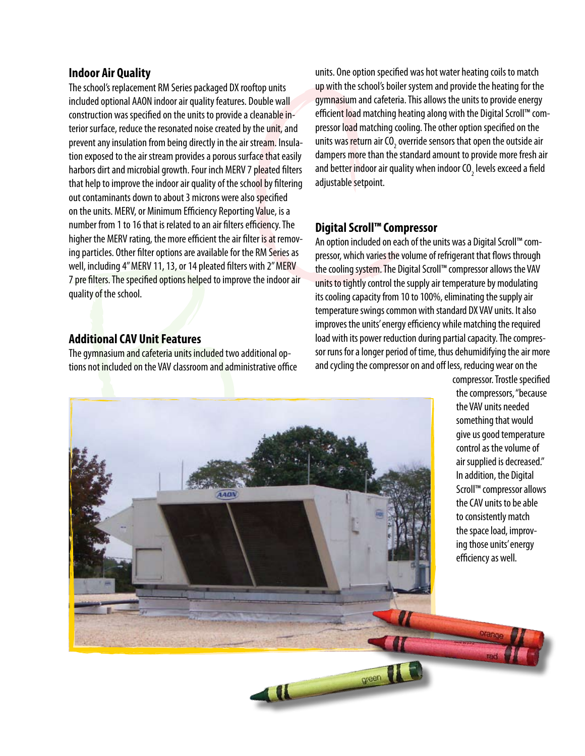#### **Indoor Air Quality**

The school's replacement RM Series packaged DX rooftop units included optional AAON indoor air quality features. Double wall construction was specified on the units to provide a cleanable interior surface, reduce the resonated noise created by the unit, and prevent any insulation from being directly in the air stream. Insulation exposed to the air stream provides a porous surface that easily harbors dirt and microbial growth. Four inch MERV 7 pleated filters that help to improve the indoor air quality of the school by filtering out contaminants down to about 3 microns were also specified on the units. MERV, or Minimum Efficiency Reporting Value, is a number from 1 to 16 that is related to an air filters efficiency. The higher the MERV rating, the more efficient the air filter is at removing particles. Other filter options are available for the RM Series as well, including 4" MERV 11, 13, or 14 pleated filters with 2" MERV 7 pre filters. The specified options helped to improve the indoor air quality of the school.

#### **Additional CAV Unit Features**

The gymnasium and cafeteria units included two additional options not included on the VAV classroom and administrative office units. One option specified was hot water heating coils to match up with the school's boiler system and provide the heating for the gymnasium and cafeteria. This allows the units to provide energy efficient load matching heating along with the Digital Scroll™ compressor load matching cooling. The other option specified on the units was <mark>re</mark>turn air CO<sub>2</sub> override sensors that open the outside air dampers more than the standard amount to provide more fresh air and better indoor air quality when indoor CO<sub>2</sub> levels exceed a field adjustable setpoint.

### **Digital Scroll™ Compressor**

green

An option included on each of the units was a Digital Scroll™ compressor, which varies the volume of refrigerant that flows through the cooling system. The Digital Scroll™ compressor allows the VAV units to tightly control the supply air temperature by modulating its cooling capacity from 10 to 100%, eliminating the supply air temperature swings common with standard DX VAV units. It also improves the units' energy efficiency while matching the required load with its power reduction during partial capacity. The compressor runs for a longer period of time, thus dehumidifying the air more and cycling the compressor on and off less, reducing wear on the



compressor. Trostle specified the compressors, "because the VAV units needed something that would give us good temperature control as the volume of air supplied is decreased." In addition, the Digital Scroll™ compressor allows the CAV units to be able to consistently match the space load, improving those units' energy efficiency as well.